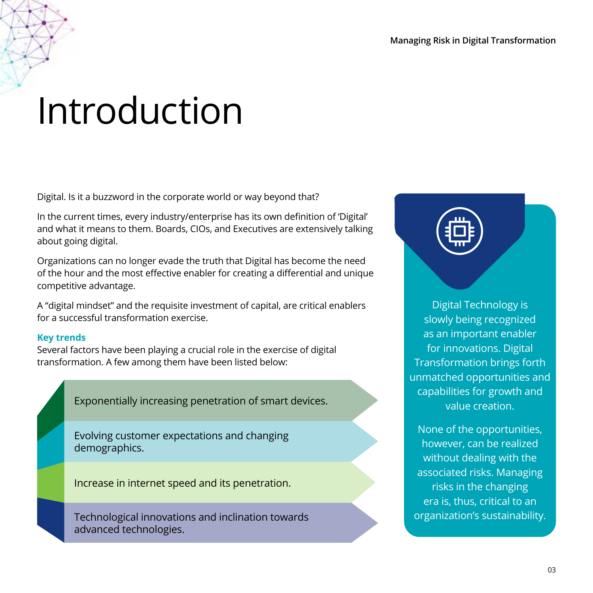## Introduction

Digital. Is it a buzzword in the corporate world or way beyond that?

In the current times, every industry/enterprise has its own definition of 'Digital' and what it means to them. Boards, CIOs, and Executives are extensively talking about going digital.

Organizations can no longer evade the truth that Digital has become the need of the hour and the most effective enabler for creating a differential and unique competitive advantage.

A "digital mindset" and the requisite investment of capital, are critical enablers for a successful transformation exercise.

### **Key trends**

Several factors have been playing a crucial role in the exercise of digital transformation. A few among them have been listed below:

Exponentially increasing penetration of smart devices.

Evolving customer expectations and changing demographics.

Increase in internet speed and its penetration.

Technological innovations and inclination towards advanced technologies.

Digital Technology is slowly being recognized as an important enabler for innovations. Digital Transformation brings forth unmatched opportunities and capabilities for growth and value creation.

None of the opportunities, however, can be realized without dealing with the associated risks. Managing risks in the changing era is, thus, critical to an organization's sustainability.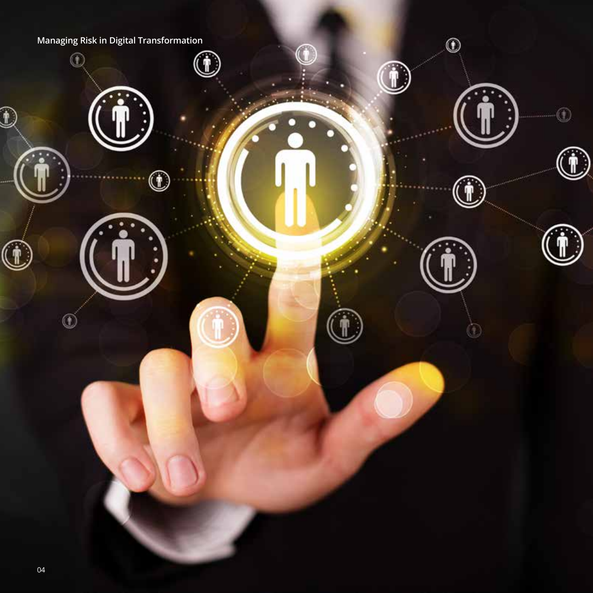

 $\overline{\mathbb{O}}$ 

 $\odot$ 

 $\mathbb G$ 

 $\circledcirc$ 

 $^\copyright$ 

 $\overline{\mathbb{O}}$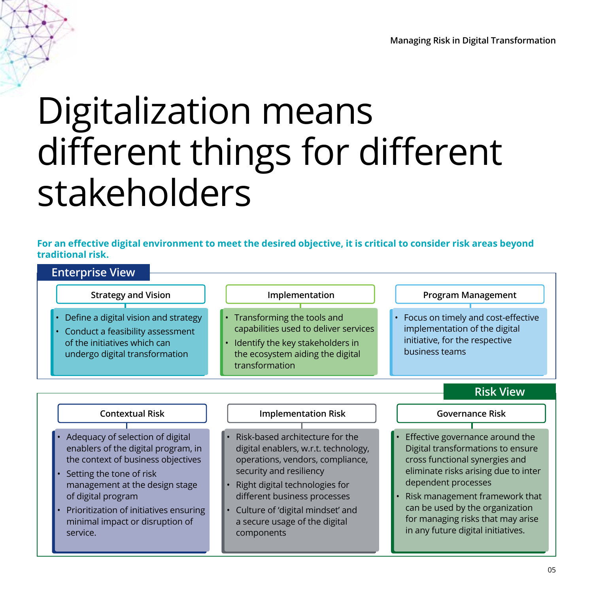## Digitalization means different things for different stakeholders

**For an effective digital environment to meet the desired objective, it is critical to consider risk areas beyond traditional risk.** 

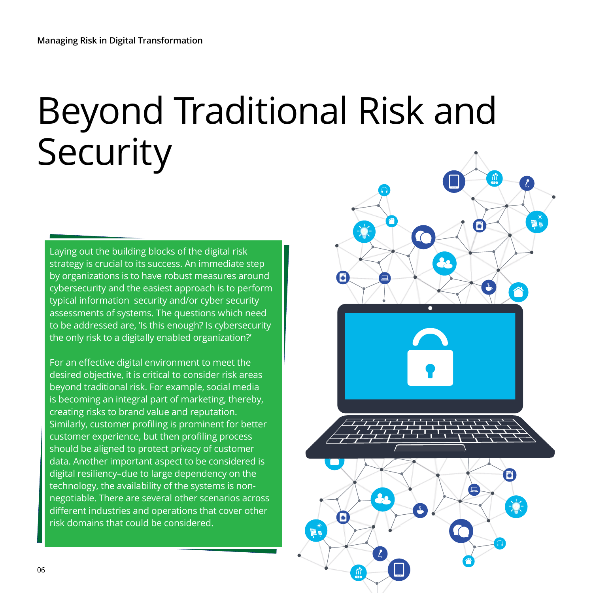## Beyond Traditional Risk and **Security**

Laying out the building blocks of the digital risk strategy is crucial to its success. An immediate step by organizations is to have robust measures around cybersecurity and the easiest approach is to perform typical information security and/or cyber security assessments of systems. The questions which need to be addressed are, 'Is this enough? Is cybersecurity the only risk to a digitally enabled organization?'

For an effective digital environment to meet the desired objective, it is critical to consider risk areas beyond traditional risk. For example, social media is becoming an integral part of marketing, thereby, creating risks to brand value and reputation. Similarly, customer profiling is prominent for better customer experience, but then profiling process should be aligned to protect privacy of customer data. Another important aspect to be considered is digital resiliency–due to large dependency on the technology, the availability of the systems is nonnegotiable. There are several other scenarios across different industries and operations that cover other risk domains that could be considered.

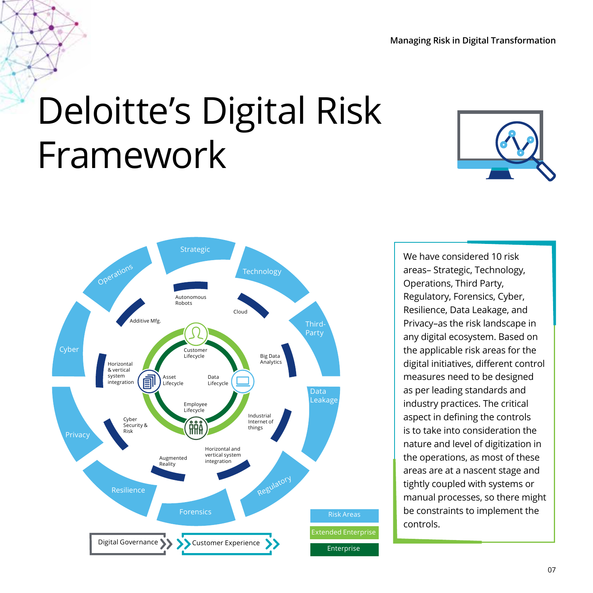# Deloitte's Digital Risk Framework

![](_page_6_Picture_2.jpeg)

![](_page_6_Figure_3.jpeg)

We have considered 10 risk areas– Strategic, Technology, Operations, Third Party, Regulatory, Forensics, Cyber, Resilience, Data Leakage, and Privacy–as the risk landscape in any digital ecosystem. Based on the applicable risk areas for the digital initiatives, different control measures need to be designed as per leading standards and industry practices. The critical aspect in defining the controls is to take into consideration the nature and level of digitization in the operations, as most of these areas are at a nascent stage and tightly coupled with systems or manual processes, so there might be constraints to implement the controls.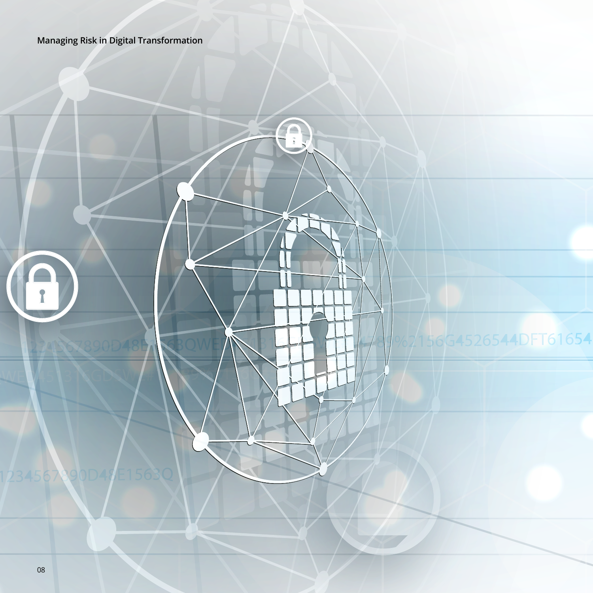### **Managing Risk in Digital Transformation**

ę

156G4526544DFT61654

234567890D48E156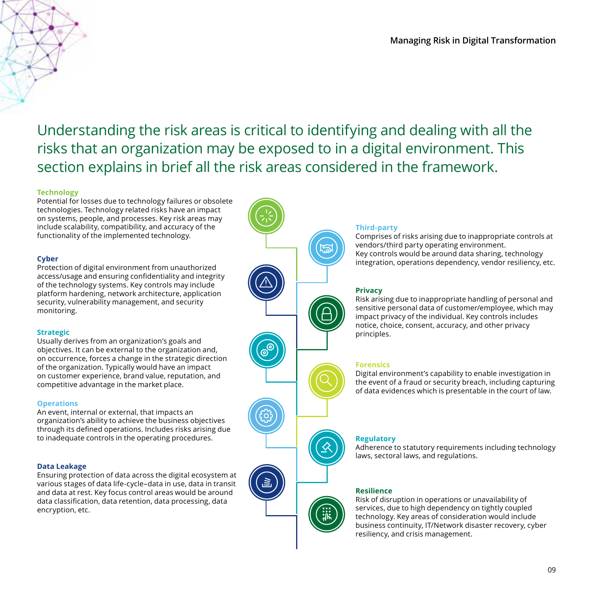Understanding the risk areas is critical to identifying and dealing with all the risks that an organization may be exposed to in a digital environment. This section explains in brief all the risk areas considered in the framework.

#### **Technology**

Potential for losses due to technology failures or obsolete technologies. Technology related risks have an impact on systems, people, and processes. Key risk areas may include scalability, compatibility, and accuracy of the functionality of the implemented technology.

#### **Cyber**

Protection of digital environment from unauthorized access/usage and ensuring confidentiality and integrity of the technology systems. Key controls may include platform hardening, network architecture, application security, vulnerability management, and security monitoring.

#### **Strategic**

Usually derives from an organization's goals and objectives. It can be external to the organization and, on occurrence, forces a change in the strategic direction of the organization. Typically would have an impact on customer experience, brand value, reputation, and competitive advantage in the market place.

#### **Operations**

An event, internal or external, that impacts an organization's ability to achieve the business objectives through its defined operations. Includes risks arising due to inadequate controls in the operating procedures.

#### **Data Leakage**

Ensuring protection of data across the digital ecosystem at various stages of data life-cycle–data in use, data in transit and data at rest. Key focus control areas would be around data classification, data retention, data processing, data encryption, etc.

![](_page_8_Figure_12.jpeg)

#### **Third-party**

Comprises of risks arising due to inappropriate controls at vendors/third party operating environment. Key controls would be around data sharing, technology integration, operations dependency, vendor resiliency, etc.

#### **Privacy**

Risk arising due to inappropriate handling of personal and sensitive personal data of customer/employee, which may impact privacy of the individual. Key controls includes notice, choice, consent, accuracy, and other privacy principles.

#### **Forensics**

Digital environment's capability to enable investigation in the event of a fraud or security breach, including capturing of data evidences which is presentable in the court of law.

#### **Regulatory**

Adherence to statutory requirements including technology laws, sectoral laws, and regulations.

#### **Resilience**

Risk of disruption in operations or unavailability of services, due to high dependency on tightly coupled technology. Key areas of consideration would include business continuity, IT/Network disaster recovery, cyber resiliency, and crisis management.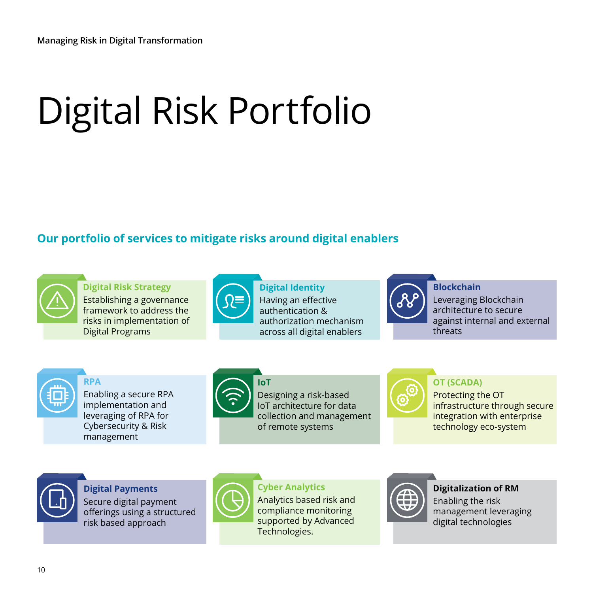# Digital Risk Portfolio

### **Our portfolio of services to mitigate risks around digital enablers**

![](_page_9_Picture_3.jpeg)

**Digital Risk Strategy** Establishing a governance framework to address the risks in implementation of Digital Programs

![](_page_9_Picture_5.jpeg)

**Digital Identity** Having an effective authentication & authorization mechanism across all digital enablers

![](_page_9_Picture_7.jpeg)

**Blockchain** Leveraging Blockchain architecture to secure against internal and external threats

![](_page_9_Picture_9.jpeg)

**RPA** Enabling a secure RPA implementation and leveraging of RPA for Cybersecurity & Risk management

![](_page_9_Picture_11.jpeg)

**IoT** Designing a risk-based IoT architecture for data collection and management of remote systems

![](_page_9_Picture_13.jpeg)

**OT (SCADA)** Protecting the OT

infrastructure through secure integration with enterprise technology eco-system

![](_page_9_Picture_16.jpeg)

**Digital Payments** Secure digital payment offerings using a structured risk based approach

![](_page_9_Picture_18.jpeg)

**Cyber Analytics** Analytics based risk and compliance monitoring supported by Advanced Technologies.

![](_page_9_Picture_20.jpeg)

**Digitalization of RM** Enabling the risk management leveraging digital technologies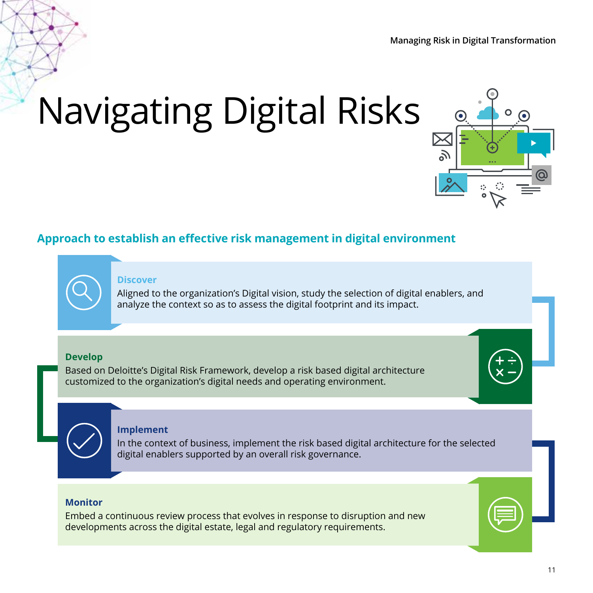**Managing Risk in Digital Transformation**

# Navigating Digital Risks

![](_page_10_Picture_2.jpeg)

### **Approach to establish an effective risk management in digital environment**

#### **Discover**

Aligned to the organization's Digital vision, study the selection of digital enablers, and analyze the context so as to assess the digital footprint and its impact.

#### **Develop**

Based on Deloitte's Digital Risk Framework, develop a risk based digital architecture customized to the organization's digital needs and operating environment.

#### **Implement**

In the context of business, implement the risk based digital architecture for the selected digital enablers supported by an overall risk governance.

#### **Monitor**

Embed a continuous review process that evolves in response to disruption and new developments across the digital estate, legal and regulatory requirements.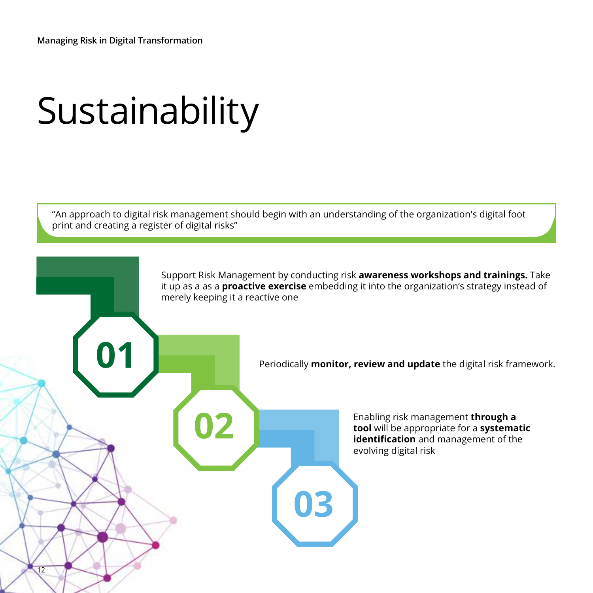**01**

**02**

12

Sustainability

"An approach to digital risk management should begin with an understanding of the organization's digital foot print and creating a register of digital risks"

> Support Risk Management by conducting risk **awareness workshops and trainings.** Take it up as a as a **proactive exercise** embedding it into the organization's strategy instead of merely keeping it a reactive one

> > **03**

Periodically **monitor, review and update** the digital risk framework.

Enabling risk management **through a tool** will be appropriate for a **systematic identification** and management of the evolving digital risk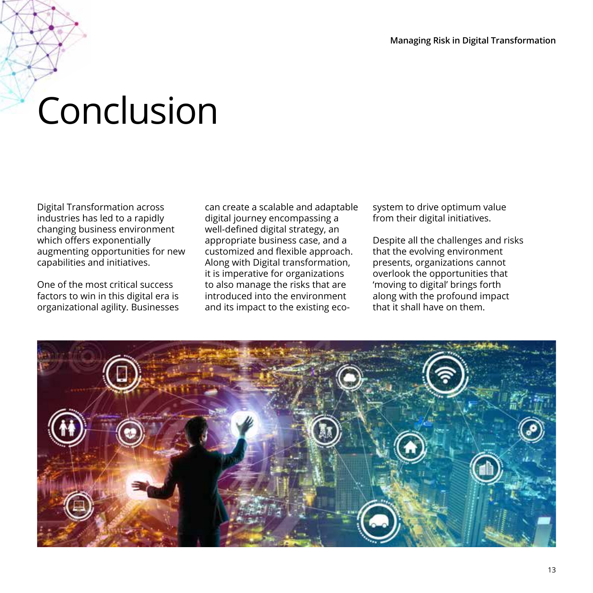# Conclusion

Digital Transformation across industries has led to a rapidly changing business environment which offers exponentially augmenting opportunities for new capabilities and initiatives.

One of the most critical success factors to win in this digital era is organizational agility. Businesses

can create a scalable and adaptable digital journey encompassing a well-defined digital strategy, an appropriate business case, and a customized and flexible approach. Along with Digital transformation, it is imperative for organizations to also manage the risks that are introduced into the environment and its impact to the existing eco-

system to drive optimum value from their digital initiatives.

Despite all the challenges and risks that the evolving environment presents, organizations cannot overlook the opportunities that 'moving to digital' brings forth along with the profound impact that it shall have on them.

![](_page_12_Picture_7.jpeg)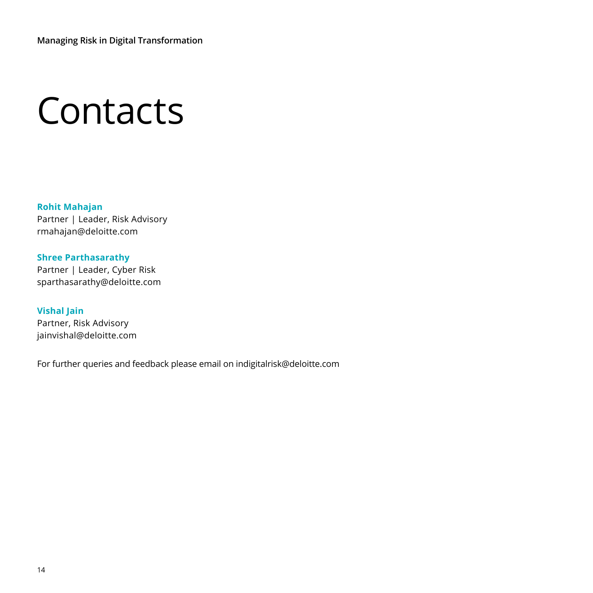## **Contacts**

#### **Rohit Mahajan**

President – Risk Advisory Deloitte India rmahajan@deloitte.com

#### **Vishal Jain**

Partner, Risk Advisory jainvishal@deloitte.com

For further queries and feedback please email on indigitalrisk@deloitte.com